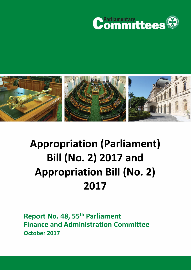



# **Appropriation (Parliament) Bill (No. 2) 2017 and Appropriation Bill (No. 2) 2017**

**Report No. 48, 55th Parliament Finance and Administration Committee October 2017**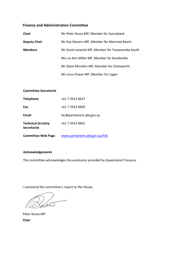## **Finance and Administration Committee**

| <b>Chair</b>        | Mr Peter Russo MP, Member for Sunnybank          |  |  |  |
|---------------------|--------------------------------------------------|--|--|--|
| <b>Deputy Chair</b> | Mr Ray Stevens MP, Member for Mermaid Beach      |  |  |  |
| <b>Members</b>      | Mr David Janetzki MP, Member for Toowoomba South |  |  |  |
|                     | Mrs Jo-Ann Miller MP, Member for Bundamba        |  |  |  |
|                     | Mr Steve Minnikin MP, Member for Chatsworth      |  |  |  |
|                     | Mr Linus Power MP, Member for Logan              |  |  |  |

#### **Committee Secretariat**

| <b>Telephone</b>                                | +61 7 3553 6637               |
|-------------------------------------------------|-------------------------------|
| Fax                                             | +61 7 3553 6699               |
| Email                                           | fac@parliament.qld.gov.au     |
| <b>Technical Scrutiny</b><br><b>Secretariat</b> | +61 7 3553 6601               |
| <b>Committee Web Page</b>                       | www.parliament.gld.gov.au/FAC |

#### **Acknowledgements**

The committee acknowledges the assistance provided by Queensland Treasury.

I commend the committee's report to the House.

han  $\sim$ 

Peter Russo MP **Chair**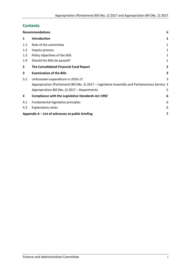# **Contents**

|              | <b>Recommendations</b>                                                                          | ii |
|--------------|-------------------------------------------------------------------------------------------------|----|
| 1            | Introduction                                                                                    | 1  |
| 1.1          | Role of the committee                                                                           | 1  |
| 1.2          | Inquiry process                                                                                 | 1  |
| 1.3          | Policy objectives of the Bills                                                                  | 1  |
| 1.4          | Should the Bills be passed?                                                                     | 1  |
| $\mathbf{2}$ | The Consolidated Financial Fund Report                                                          | 2  |
| 3            | <b>Examination of the Bills</b>                                                                 | 3  |
| 3.1          | Unforeseen expenditure in 2016-17                                                               | 3  |
|              | Appropriation (Parliament) Bill (No. 2) 2017 – Legislative Assembly and Parliamentary Service 3 |    |
|              | Appropriation Bill (No. 2) 2017 - Departments                                                   | 3  |
| 4            | Compliance with the Legislative Standards Act 1992                                              | 6  |
| 4.1          | Fundamental legislative principles                                                              | 6  |
| 4.2          | <b>Explanatory notes</b>                                                                        | 6  |
|              | Appendix $A - List$ of witnesses at public briefing                                             | 7  |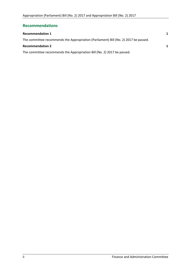# <span id="page-3-0"></span>**Recommendations**

| <b>Recommendation 1</b>                                                              | $\mathbf 1$ |
|--------------------------------------------------------------------------------------|-------------|
| The committee recommends the Appropriation (Parliament) Bill (No. 2) 2017 be passed. |             |
| <b>Recommendation 2</b>                                                              | 1           |
| The committee recommends the Appropriation Bill (No. 2) 2017 be passed.              |             |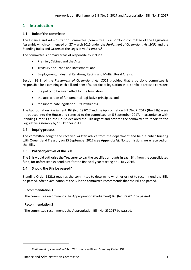# <span id="page-4-0"></span>**1 Introduction**

## <span id="page-4-1"></span>**1.1 Role of the committee**

The Finance and Administration Committee (committee) is a portfolio committee of the Legislative Assembly which commenced on 27 March 2015 under the *Parliament of Queensland Act 2001* and the Standing Rules and Orders of the Legislative Assembly.<sup>1</sup>

The committee's primary areas of responsibility include:

- Premier, Cabinet and the Arts
- **•** Treasury and Trade and Investment, and
- Employment, Industrial Relations, Racing and Multicultural Affairs.

Section 93(1) of the *Parliament of Queensland Act 2001* provided that a portfolio committee is responsible for examining each bill and item of subordinate legislation in its portfolio areas to consider:

- the policy to be given effect by the legislation
- the application of fundamental legislative principles, and
- $\bullet$  for subordinate legislation its lawfulness.

The Appropriation (Parliament) Bill (No. 2) 2017 and the Appropriation Bill (No. 2) 2017 (the Bills) were introduced into the House and referred to the committee on 5 September 2017. In accordance with Standing Order 137, the House declared the Bills urgent and ordered the committee to report to the Legislative Assembly by 11 October 2017.

#### <span id="page-4-2"></span>**1.2 Inquiry process**

The committee sought and received written advice from the department and held a public briefing with Queensland Treasury on 25 September 2017 (see **Appendix A**). No submissions were received on the Bills.

## <span id="page-4-3"></span>**1.3 Policy objectives of the Bills**

The Bills would authorise the Treasurer to pay the specified amounts in each Bill, from the consolidated fund, for unforeseen expenditure for the financial year starting on 1 July 2016.

## <span id="page-4-4"></span>**1.4 Should the Bills be passed?**

Standing Order 132(1) requires the committee to determine whether or not to recommend the Bills be passed. After examination of the Bills the committee recommends that the Bills be passed.

#### <span id="page-4-5"></span>**Recommendation 1**

<span id="page-4-6"></span>The committee recommends the Appropriation (Parliament) Bill (No. 2) 2017 be passed.

## <span id="page-4-7"></span>**Recommendation 2**

 $\overline{a}$ 

<span id="page-4-8"></span>The committee recommends the Appropriation Bill (No. 2) 2017 be passed.

<sup>1</sup> *Parliament of Queensland Act 2001*, section 88 and Standing Order 194.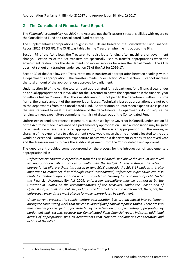# <span id="page-5-0"></span>**2 The Consolidated Financial Fund Report**

The *Financial Accountability Act 2009* (the Act) sets out the Treasurer's responsibilities with regard to the Consolidated Fund and Consolidated Fund reporting.

The supplementary appropriations sought in the Bills are based on the Consolidated Fund Financial Report 2016-17 (CFFR). The CFFR was tabled by the Treasurer when he introduced the Bills.

Section 79 of the Act allows the Treasurer to redistribute funding after machinery of government change. Section 79 of the Act transfers are specifically used to transfer appropriations when the government restructures the departments or moves services between the departments. The CFFR does not set out any transfers under section 79 of the Act for 2016-17.

Section 33 of the Act allows the Treasurer to make transfers of appropriation between headings within a department's appropriation. The transfers made under section 79 and section 33 cannot increase the total amount of the appropriation approved by parliament.

Under section 29 of the Act, the total amount appropriated for a department for a financial year under an annual appropriation act is available for the Treasurer to pay to the department in the financial year or within a further 2 weeks. If all the available amount is not paid to the department within this time frame, the unpaid amount of the appropriation lapses. Technically lapsed appropriations are not paid to the departments from the Consolidated Fund. Appropriation or unforeseen expenditure is paid to the level required to meet the expenditure of the departments. If departments do not require the funding to meet expenditure commitments, it is not drawn out of the Consolidated Fund.

Unforeseen expenditure refers to expenditure authorised by the Governor in Council, under section 35 of the Act, to be made in advance of a parliamentary appropriation. Such authorisation may be given for expenditure where there is no appropriation, or there is an appropriation but the making or charging of the expenditure to a department's vote would mean that the amount allocated to the vote would be exceeded. Unforeseen expenditure occurs when a department exceeds its approved vote and the Treasurer needs to have the additional payment from the Consolidated Fund approved.

The department provided some background on the process for the introduction of supplementary appropriation bills:

*Unforeseen expenditure is expenditure from the Consolidated Fund above the amount approved*  via appropriation bills introduced annually with the budget. In this instance, the relevant *appropriation bills are those introduced in June 2016 alongside the 2016-17 budget. It is also important to remember that although called 'expenditure', unforeseen expenditure can also relate to additional appropriation which is provided to Treasury for repayment of debt. Under the* Financial Accountability Act 2009*, unforeseen expenditure may be authorised by the Governor in Council on the recommendations of the Treasurer. Under the Constitution of Queensland, amounts can only be paid from the Consolidated Fund under an act; therefore, the unforeseen expenditure must also be formally appropriated by parliament.* 

*Under current practice, the supplementary appropriation bills are introduced into parliament during the same sitting week that the consolidated fund financial report is tabled. There are two main reasons for this: first, to facilitate timely consideration of supplementary appropriation by parliament and, second, because the Consolidated Fund financial report indicates additional details of appropriation paid to departments that supports parliament's consideration and debate of the bills.<sup>2</sup>*

 $\overline{a}$ 

<sup>2</sup> Public hearing transcript, Brisbane, 25 September 2017, p 1.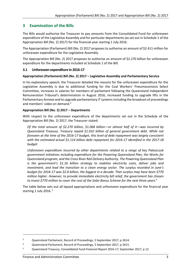# <span id="page-6-0"></span>**3 Examination of the Bills**

The Bills would authorise the Treasurer to pay amounts from the Consolidated Fund for unforeseen expenditure of the Legislative Assembly and for particular departments (as set out in Schedule 1 of the Appropriation Bill (No. 2) 2017) for the financial year starting 1 July 2016.

The Appropriation (Parliament) Bill (No. 2) 2017 proposes to authorise an amount of \$2.411 million for unforeseen expenditure for the Legislative Assembly.

The Appropriation Bill (No. 2) 2017 proposes to authorise an amount of \$2.270 billion for unforeseen expenditure for the departments included at Schedule 1 of the Bill.

## <span id="page-6-1"></span>**3.1 Unforeseen expenditure in 2016-17**

## <span id="page-6-2"></span>**Appropriation (Parliament) Bill (No. 2) 2017 – Legislative Assembly and Parliamentary Service**

In his explanatory speech, the Treasurer detailed the reasons for the unforeseen expenditure for the Legislative Assembly is due to additional funding for the Coal Workers' Pneumoconiosis Select Committee, increases in salaries for members of parliament following the Queensland Independent Remuneration Tribunal's determination in August 2016, increased funding to upgrade lifts in the Parliamentary Annexe and to upgrade parliamentary IT systems including the broadcast of proceedings and members' video on demand.<sup>3</sup>

## <span id="page-6-3"></span>**Appropriation Bill (No. 2) 2017 – Departments**

With respect to the unforeseen expenditure of the departments set out in the Schedule of the Appropriation Bill (No. 2) 2017, the Treasurer stated:

*Of the total amount of \$2.270 billion, \$1.068 billion—or almost half of it—was incurred by Queensland Treasury. Treasury repaid \$1.032 billion of general government debt. While not foreseen at the time of the 2016-17 budget, this level of debt repayment was largely consistent with the estimated actual \$1.114 billion debt repayment for 2016-17 identified in the 2017-18 budget*

*Unforeseen expenditure incurred by other departments related to a range of key Palaszczuk government initiatives including expenditure for the Powering Queensland Plan, the Works for Queensland program, and the Cross River Rail Delivery Authority. The Powering Queensland Plan is the government's \$1.16 billion strategy to stabilise electricity costs, deliver jobs and investment, and lead the transition to a clean energy sector. The surplus recorded in June's budget for 2016-17 was \$2.8 billion, the biggest in a decade. That surplus may have been \$770 million higher. However, to provide immediate electricity bill relief, the government has chosen to invest \$770 million to cover the cost of the Solar Bonus Scheme for the next three years.<sup>4</sup>*

The table below sets out all lapsed appropriations and unforeseen expenditure for the financial year starting 1 July 2016.<sup>5</sup>

 $\overline{\phantom{a}}$ 

<sup>&</sup>lt;sup>3</sup> Queensland Parliament, Record of Proceedings, 5 September 2017, p 2614.

<sup>4</sup> Queensland Parliament, Record of Proceedings, 5 September 2017, p 2615.

<sup>5</sup> Queensland Treasury, *Consolidated Fund Financial Report 2016-17*, September 2017, p 12.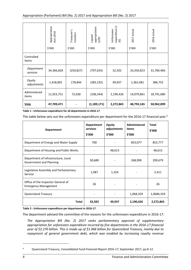|                        | Appropriation<br>Acts 2016<br>\$′000 | Treasurer's<br>transfers<br>\$′000 | appropriation<br>Lapsed<br>(529)<br>\$′000 | expenditure (s<br>35)<br>Unforeseen<br>\$′000 | 2017 actual<br>\$′000 | 2016 actual<br>\$′000 |
|------------------------|--------------------------------------|------------------------------------|--------------------------------------------|-----------------------------------------------|-----------------------|-----------------------|
| Controlled<br>items    |                                      |                                    |                                            |                                               |                       |                       |
| Department<br>services | 34,366,828                           | (250, 827)                         | (797, 635)                                 | 32,502                                        | 33,350,823            | 31,784,466            |
| Equity<br>adjustments  | 1,418,892                            | 178,844                            | (285, 192)                                 | 49,937                                        | 1,362,481             | 386,753               |
| Administered<br>items  | 11,923,751                           | 72,028                             | (106, 344)                                 | 2,190,426                                     | 14,079,861            | 18,791,680            |
| <b>Vote</b>            | 47,709,471                           |                                    | (1, 189, 171)                              | 2,272,865                                     | 48,793,165            | 50,962,899            |

|                                                                                                                                                              | Appropriation<br>Acts 2016                                                                                                                                                         | Treasurer's<br>transfers | appropriation<br>Lapsed<br>(529)        | expenditure (s<br>35)<br>Unforeseen    | 2017 actual                                                                                                                                                                                                                                                                                                                                                                        | 2016 actual            |  |
|--------------------------------------------------------------------------------------------------------------------------------------------------------------|------------------------------------------------------------------------------------------------------------------------------------------------------------------------------------|--------------------------|-----------------------------------------|----------------------------------------|------------------------------------------------------------------------------------------------------------------------------------------------------------------------------------------------------------------------------------------------------------------------------------------------------------------------------------------------------------------------------------|------------------------|--|
|                                                                                                                                                              | \$'000                                                                                                                                                                             | \$'000                   | \$'000                                  | \$'000                                 | \$'000                                                                                                                                                                                                                                                                                                                                                                             | \$'000                 |  |
| Controlled<br>items                                                                                                                                          |                                                                                                                                                                                    |                          |                                         |                                        |                                                                                                                                                                                                                                                                                                                                                                                    |                        |  |
| Department<br>services                                                                                                                                       | 34,366,828                                                                                                                                                                         | (250, 827)               | (797, 635)                              | 32,502                                 | 33,350,823                                                                                                                                                                                                                                                                                                                                                                         | 31,784,466             |  |
| Equity<br>adjustments                                                                                                                                        | 1,418,892                                                                                                                                                                          | 178,844                  | (285, 192)                              | 49,937                                 | 1,362,481                                                                                                                                                                                                                                                                                                                                                                          | 386,753                |  |
| Administered<br>items                                                                                                                                        | 11,923,751                                                                                                                                                                         | 72,028                   | (106, 344)                              | 2,190,426                              | 14,079,861                                                                                                                                                                                                                                                                                                                                                                         | 18,791,680             |  |
| Vote                                                                                                                                                         | 47,709,471                                                                                                                                                                         |                          | (1, 189, 171)                           | 2,272,865                              | 48,793,165                                                                                                                                                                                                                                                                                                                                                                         | 50,962,899             |  |
|                                                                                                                                                              | Table 1 : Unforeseen expenditure for all departments in 2016-17<br>The table below sets out the unforeseen expenditure per department for the 2016-17 financial year. <sup>6</sup> |                          |                                         |                                        |                                                                                                                                                                                                                                                                                                                                                                                    |                        |  |
| <b>Department</b>                                                                                                                                            |                                                                                                                                                                                    |                          | <b>Department</b><br>services<br>\$'000 | <b>Equity</b><br>adjustments<br>\$'000 | <b>Administered</b><br>items<br>\$'000                                                                                                                                                                                                                                                                                                                                             | <b>Total</b><br>\$'000 |  |
| Department of Energy and Water Supply                                                                                                                        |                                                                                                                                                                                    |                          | 700                                     |                                        | 853,077                                                                                                                                                                                                                                                                                                                                                                            | 853,777                |  |
| Department of Housing and Public Works                                                                                                                       |                                                                                                                                                                                    |                          |                                         | 48,613                                 |                                                                                                                                                                                                                                                                                                                                                                                    | 48,613                 |  |
| Department of Infrastructure, Local<br>Government and Planning                                                                                               |                                                                                                                                                                                    |                          | 30,689                                  |                                        | 268,990                                                                                                                                                                                                                                                                                                                                                                            | 299,679                |  |
| Legislative Assembly and Parliamentary<br>Service                                                                                                            |                                                                                                                                                                                    |                          | 1,087                                   | 1,324                                  |                                                                                                                                                                                                                                                                                                                                                                                    | 2,411                  |  |
| Office of the Inspector-General of<br><b>Emergency Management</b>                                                                                            |                                                                                                                                                                                    | 26                       |                                         |                                        | 26                                                                                                                                                                                                                                                                                                                                                                                 |                        |  |
| Queensland Treasury                                                                                                                                          |                                                                                                                                                                                    |                          |                                         | 1,068,359                              | 1,0686,359                                                                                                                                                                                                                                                                                                                                                                         |                        |  |
|                                                                                                                                                              |                                                                                                                                                                                    | <b>Total</b>             | 32,502                                  | 49,937                                 | 2,190,426                                                                                                                                                                                                                                                                                                                                                                          | 2,272,865              |  |
| Table 2 : Unforeseen expenditure per department in 2016-17<br>The department advised the committee of the reasons for the unforeseen expenditure in 2016-17: |                                                                                                                                                                                    |                          |                                         |                                        | The Appropriation Bill (No. 2) 2017 seeks parliamentary approval of supplementary<br>appropriation for unforeseen expenditure incurred by five departments in the 2016-17 financial<br>year of \$2.270 billion. This is made up of \$1.068 billion for Queensland Treasury, mainly due to<br>repayment of general government debt, which was enabled by increasing royalty revenue |                        |  |
| 6                                                                                                                                                            |                                                                                                                                                                                    |                          |                                         |                                        | Queensland Treasury, Consolidated Fund Financial Report 2016-17, September 2017, pp 8-12.                                                                                                                                                                                                                                                                                          |                        |  |
| 4                                                                                                                                                            |                                                                                                                                                                                    |                          |                                         |                                        | Finance and Administration Committee                                                                                                                                                                                                                                                                                                                                               |                        |  |

<sup>6</sup> Queensland Treasury, *Consolidated Fund Financial Report 2016-17*, September 2017, pp 8-12.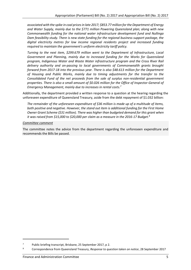*associated with the spike in coal prices in late 2017; \$853.77 million for the Department of Energy and Water Supply, mainly due to the \$771 million Powering Queensland plan; along with new Commonwealth funding for the national water infrastructure development fund and Nullinga Dam feasibility study. There is new state funding for the regional business support package, the digital electricity metres for low income regional residents project and increased funding required to maintain the government's uniform electricity tariff policy.* 

*Turning to the next item, \$299.679 million went to the Department of Infrastructure, Local Government and Planning, mainly due to increased funding for the Works for Queensland program, Indigenous Water and Waste Water infrastructure program and the Cross River Rail delivery authority and on-passing to local governments of Commonwealth grants brought forward from 2017-18 into the previous year. There is also \$48.613 million for the Department of Housing and Public Works, mainly due to timing adjustments for the transfer to the Consolidated Fund of the net proceeds from the sale of surplus non-residential government properties. There is also a small amount of \$0.026 million for the Office of Inspector-General of Emergency Management, mainly due to increases in rental costs.<sup>7</sup>*

Additionally, the department provided a written response to a question at the hearing regarding the unforeseen expenditure of Queensland Treasury, aside from the debt repayment of \$1.032 billion:

*The remainder of the unforeseen expenditure of \$36 million is made up of a multitude of items, both positive and negative. However, the stand out item is additional funding for the First Home Owner Grant Scheme (\$31 million). There was higher than budgeted demand for this grant when it was raised from \$15,000 to \$20,000 per claim as a measure in the 2016-17 Budget. 8*

#### *Committee comment*

The committee notes the advice from the department regarding the unforeseen expenditure and recommends the Bills be passed.

 $\overline{a}$ 

<sup>7</sup> Public briefing transcript, Brisbane, 25 September 2017, p 2.

<sup>8</sup> Correspondence from Queensland Treasury, *Response to question taken on notice*, 28 September 2017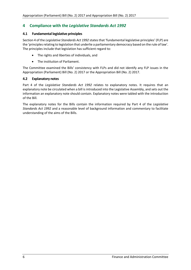# <span id="page-9-0"></span>**4 Compliance with the** *Legislative Standards Act 1992*

## <span id="page-9-1"></span>**4.1 Fundamental legislative principles**

Section 4 of the *Legislative Standards Act 1992* states that 'fundamental legislative principles' (FLP) are the 'principles relating to legislation that underlie a parliamentary democracy based on the rule of law'. The principles include that legislation has sufficient regard to:

- The rights and liberties of individuals, and
- The institution of Parliament.

The Committee examined the Bills' consistency with FLPs and did not identify any FLP issues in the Appropriation (Parliament) Bill (No. 2) 2017 or the Appropriation Bill (No. 2) 2017.

## <span id="page-9-2"></span>**4.2 Explanatory notes**

Part 4 of the *Legislative Standards Act 1992* relates to explanatory notes. It requires that an explanatory note be circulated when a bill is introduced into the Legislative Assembly, and sets out the information an explanatory note should contain. Explanatory notes were tabled with the introduction of the Bill.

The explanatory notes for the Bills contain the information required by Part 4 of the *Legislative Standards Act 1992* and a reasonable level of background information and commentary to facilitate understanding of the aims of the Bills.